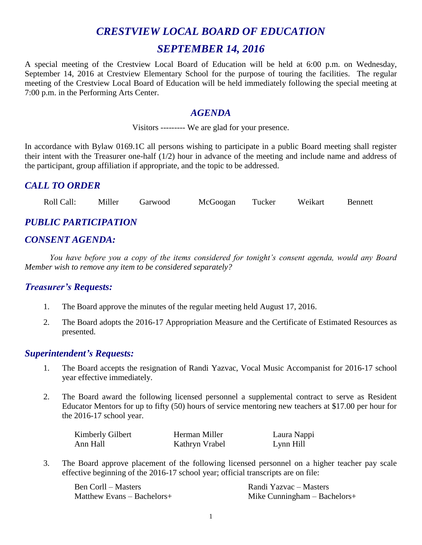# *CRESTVIEW LOCAL BOARD OF EDUCATION SEPTEMBER 14, 2016*

A special meeting of the Crestview Local Board of Education will be held at 6:00 p.m. on Wednesday, September 14, 2016 at Crestview Elementary School for the purpose of touring the facilities. The regular meeting of the Crestview Local Board of Education will be held immediately following the special meeting at 7:00 p.m. in the Performing Arts Center.

#### *AGENDA*

Visitors --------- We are glad for your presence.

In accordance with Bylaw 0169.1C all persons wishing to participate in a public Board meeting shall register their intent with the Treasurer one-half (1/2) hour in advance of the meeting and include name and address of the participant, group affiliation if appropriate, and the topic to be addressed.

# *CALL TO ORDER*

Roll Call: Miller Garwood McGoogan Tucker Weikart Bennett

# *PUBLIC PARTICIPATION*

## *CONSENT AGENDA:*

*You have before you a copy of the items considered for tonight's consent agenda, would any Board Member wish to remove any item to be considered separately?*

#### *Treasurer's Requests:*

- 1. The Board approve the minutes of the regular meeting held August 17, 2016.
- 2. The Board adopts the 2016-17 Appropriation Measure and the Certificate of Estimated Resources as presented.

#### *Superintendent's Requests:*

- 1. The Board accepts the resignation of Randi Yazvac, Vocal Music Accompanist for 2016-17 school year effective immediately.
- 2. The Board award the following licensed personnel a supplemental contract to serve as Resident Educator Mentors for up to fifty (50) hours of service mentoring new teachers at \$17.00 per hour for the 2016-17 school year.

| Kimberly Gilbert | Herman Miller  | Laura Nappi |
|------------------|----------------|-------------|
| Ann Hall         | Kathryn Vrabel | Lynn Hill   |

3. The Board approve placement of the following licensed personnel on a higher teacher pay scale effective beginning of the 2016-17 school year; official transcripts are on file:

| <b>Ben Corll – Masters</b>      | Randi Yazvac – Masters            |
|---------------------------------|-----------------------------------|
| Matthew Evans $-$ Bachelors $+$ | Mike Cunningham $-$ Bachelors $+$ |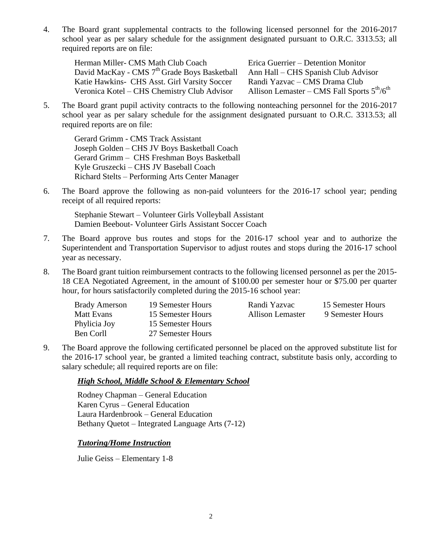4. The Board grant supplemental contracts to the following licensed personnel for the 2016-2017 school year as per salary schedule for the assignment designated pursuant to O.R.C. 3313.53; all required reports are on file:

Herman Miller- CMS Math Club Coach Erica Guerrier – Detention Monitor David MacKay - CMS  $7<sup>th</sup>$  Grade Boys Basketball Ann Hall – CHS Spanish Club Advisor Katie Hawkins- CHS Asst. Girl Varsity Soccer Randi Yazvac – CMS Drama Club Veronica Kotel – CHS Chemistry Club Advisor Allison Lemaster – CMS Fall Sports  $5^{th}/6^{th}$ 

5. The Board grant pupil activity contracts to the following nonteaching personnel for the 2016-2017 school year as per salary schedule for the assignment designated pursuant to O.R.C. 3313.53; all required reports are on file:

Gerard Grimm - CMS Track Assistant Joseph Golden – CHS JV Boys Basketball Coach Gerard Grimm – CHS Freshman Boys Basketball Kyle Gruszecki – CHS JV Baseball Coach Richard Stelts – Performing Arts Center Manager

6. The Board approve the following as non-paid volunteers for the 2016-17 school year; pending receipt of all required reports:

Stephanie Stewart – Volunteer Girls Volleyball Assistant Damien Beebout- Volunteer Girls Assistant Soccer Coach

- 7. The Board approve bus routes and stops for the 2016-17 school year and to authorize the Superintendent and Transportation Supervisor to adjust routes and stops during the 2016-17 school year as necessary.
- 8. The Board grant tuition reimbursement contracts to the following licensed personnel as per the 2015- 18 CEA Negotiated Agreement, in the amount of \$100.00 per semester hour or \$75.00 per quarter hour, for hours satisfactorily completed during the 2015-16 school year:

| <b>Brady Amerson</b> | 19 Semester Hours | Randi Yazvac     | 15 Semester Hours |
|----------------------|-------------------|------------------|-------------------|
| Matt Evans           | 15 Semester Hours | Allison Lemaster | 9 Semester Hours  |
| Phylicia Joy         | 15 Semester Hours |                  |                   |
| Ben Corll            | 27 Semester Hours |                  |                   |

9. The Board approve the following certificated personnel be placed on the approved substitute list for the 2016-17 school year, be granted a limited teaching contract, substitute basis only, according to salary schedule; all required reports are on file:

#### *High School, Middle School & Elementary School*

Rodney Chapman – General Education Karen Cyrus – General Education Laura Hardenbrook – General Education Bethany Quetot – Integrated Language Arts (7-12)

#### *Tutoring/Home Instruction*

Julie Geiss – Elementary 1-8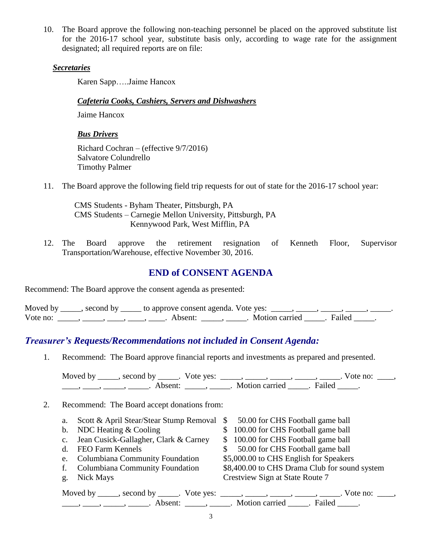10. The Board approve the following non-teaching personnel be placed on the approved substitute list for the 2016-17 school year, substitute basis only, according to wage rate for the assignment designated; all required reports are on file:

#### *Secretaries*

Karen Sapp…..Jaime Hancox

*Cafeteria Cooks, Cashiers, Servers and Dishwashers*

Jaime Hancox

#### *Bus Drivers*

Richard Cochran – (effective 9/7/2016) Salvatore Colundrello Timothy Palmer

11. The Board approve the following field trip requests for out of state for the 2016-17 school year:

CMS Students - Byham Theater, Pittsburgh, PA CMS Students – Carnegie Mellon University, Pittsburgh, PA Kennywood Park, West Mifflin, PA

12. The Board approve the retirement resignation of Kenneth Floor, Supervisor Transportation/Warehouse, effective November 30, 2016.

### **END of CONSENT AGENDA**

Recommend: The Board approve the consent agenda as presented:

| Moved by | second by | to approve consent agenda. Vote yes: |                |          |  |
|----------|-----------|--------------------------------------|----------------|----------|--|
| Vote no: |           | Absent:                              | Motion carried | . Failed |  |

## *Treasurer's Requests/Recommendations not included in Consent Agenda:*

1. Recommend: The Board approve financial reports and investments as prepared and presented.

Moved by \_\_\_\_\_, second by \_\_\_\_\_. Vote yes: \_\_\_\_\_, \_\_\_\_\_, \_\_\_\_\_, \_\_\_\_\_, \_\_\_\_\_. Vote no: \_\_\_\_,  $\frac{1}{\sqrt{2\pi}}$ ,  $\frac{1}{\sqrt{2\pi}}$ ,  $\frac{1}{\sqrt{2\pi}}$ ,  $\frac{1}{\sqrt{2\pi}}$ ,  $\frac{1}{\sqrt{2\pi}}$ ,  $\frac{1}{\sqrt{2\pi}}$ ,  $\frac{1}{\sqrt{2\pi}}$ ,  $\frac{1}{\sqrt{2\pi}}$ ,  $\frac{1}{\sqrt{2\pi}}$ ,  $\frac{1}{\sqrt{2\pi}}$ ,  $\frac{1}{\sqrt{2\pi}}$ ,  $\frac{1}{\sqrt{2\pi}}$ ,  $\frac{1}{\sqrt{2\pi}}$ ,  $\frac{1}{\sqrt{2\pi}}$ 

- 2. Recommend: The Board accept donations from:
	- a. Scott & April Stear/Stear Stump Removal \$ 50.00 for CHS Football game ball b. NDC Heating & Cooling  $$100.00$  for CHS Football game ball c. Jean Cusick-Gallagher, Clark & Carney  $$100.00$  for CHS Football game ball d. FEO Farm Kennels  $$ 50.00$  for CHS Football game ball e. Columbiana Community Foundation \$5,000.00 to CHS English for Speakers f. Columbiana Community Foundation \$8,400.00 to CHS Drama Club for sound system g. Nick Mays Crestview Sign at State Route 7 Moved by \_\_\_\_\_, second by \_\_\_\_\_. Vote yes:  $\_\_\_\_\_\_\_\_\_\_\_\_\_\_\_$  \_\_\_\_\_, \_\_\_\_\_, \_\_\_\_\_. Vote no:  $\_\_\_\_\_\_\$ \_\_\_\_, \_\_\_\_\_, \_\_\_\_\_\_, Absent: \_\_\_\_\_, \_\_\_\_\_. Motion carried \_\_\_\_\_. Failed \_\_\_\_\_.